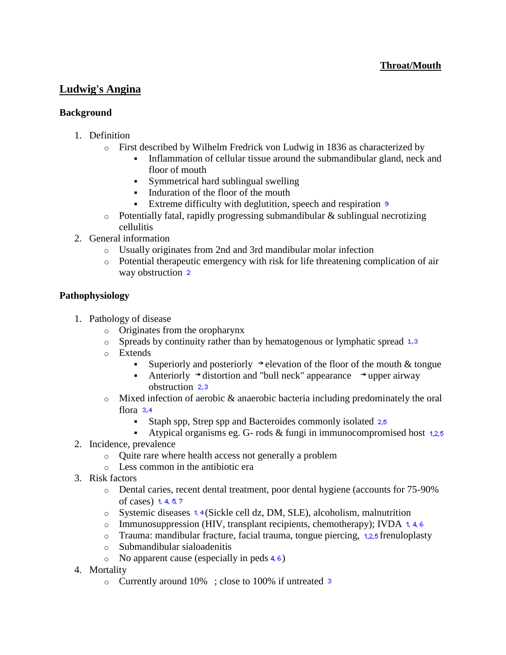# **Ludwig's Angina**

#### **Background**

- 1. Definition
	- o First described by Wilhelm Fredrick von Ludwig in 1836 as characterized by
		- Inflammation of cellular tissue around the submandibular gland, neck and floor of mouth
		- Symmetrical hard sublingual swelling
		- Induration of the floor of the mouth
		- Extreme difficulty with deglutition, speech and respiration 9
	- $\circ$  Potentially fatal, rapidly progressing submandibular & sublingual necrotizing cellulitis
- 2. General information
	- o Usually originates from 2nd and 3rd mandibular molar infection
	- $\circ$  Potential therapeutic emergency with risk for life threatening complication of air way obstruction 2

#### **Pathophysiology**

- 1. Pathology of disease
	- o Originates from the oropharynx
	- $\circ$  Spreads by continuity rather than by hematogenous or lymphatic spread  $1,3$
	- o Extends
		- Superiorly and posteriorly  $\rightarrow$  elevation of the floor of the mouth & tongue
		- Anteriorly  $\rightarrow$  distortion and "bull neck" appearance  $\rightarrow$  upper airway obstruction 2.3
	- o Mixed infection of aerobic & anaerobic bacteria including predominately the oral flora 3,4
		- Staph spp, Strep spp and Bacteroides commonly isolated  $2.5$
		- Atypical organisms eg. G- rods  $&$  fungi in immunocompromised host  $1,2,5$
- 2. Incidence, prevalence
	- o Quite rare where health access not generally a problem
	- o Less common in the antibiotic era
- 3. Risk factors
	- o Dental caries, recent dental treatment, poor dental hygiene (accounts for 75-90% of cases)  $1, 4, 5, 7$
	- $\circ$  Systemic diseases 1.4 (Sickle cell dz, DM, SLE), alcoholism, malnutrition
	- $\circ$  Immunosuppression (HIV, transplant recipients, chemotherapy); IVDA 1.4.6
	- $\circ$  Trauma: mandibular [f](http://www.pepidonline.com/content/content.aspx?fl=1&url=/fde/fde815.htm)racture, facial trauma, tongue piercing, 1.2.5 frenuloplasty
	- o Submandibular sialoadenitis
	- $\circ$  No apparent cause (especially in peds 4.6)
- 4. Mortality
	- o Currently around 10% ; close to 100% if untreated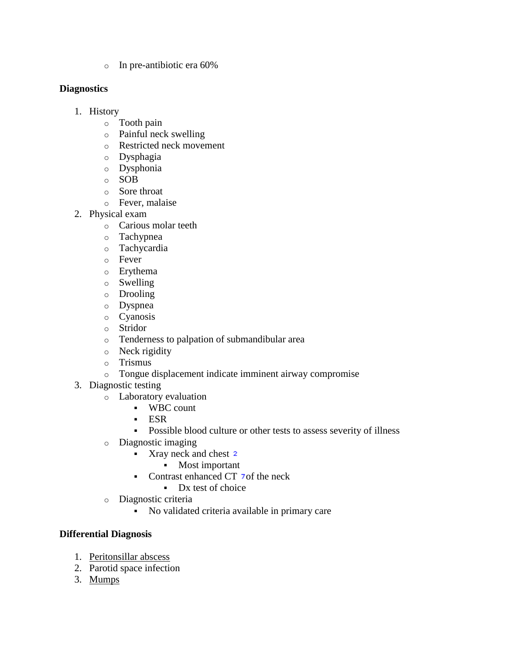o In pre-antibiotic era 60%

### **Diagnostics**

- 1. History
	- o Tooth pain
	- o Painful neck swelling
	- o Restricted neck movement
	- o Dysphagia
	- o Dysphonia
	- o SOB
	- o Sore throat
	- o Fever, malaise
- 2. Physical exam
	- o Carious molar teeth
	- o Tachypnea
	- o Tachycardia
	- o Fever
	- o Erythema
	- o Swelling
	- o Drooling
	- o Dyspnea
	- o Cyanosis
	- o Stridor
	- o Tenderness to palpation of submandibular area
	- o Neck rigidity
	- o Trismus
	- o Tongue displacement indicate imminent airway compromise
- 3. Diagnostic testing
	- o Laboratory evaluation
		- WBC count
		- ESR
		- Possible blood culture or other tests to assess severity of illness
	- o Diagnostic imaging
		- Xray neck and chest 2
			- Most important
		- Contrast enhanced  $CT$  7 of the neck
		- Dx test of choice
	- o Diagnostic criteria
		- No validated criteria available in primary care

# **Differential Diagnosis**

- 1. [Peritonsillar abscess](http://www.pepidonline.com/content/content.aspx?url=PEDS/pdf276.htm)
- 2. Parotid space infection
- 3. [Mumps](http://www.pepidonline.com/content/content.aspx?url=idt/idt172.htm)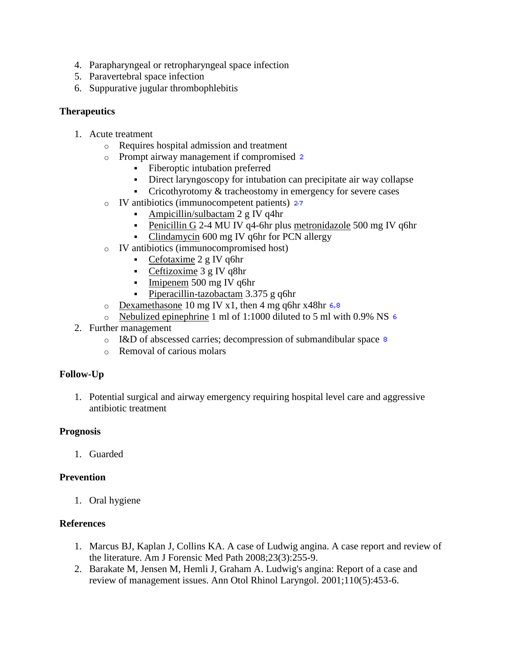- 4. Parapharyngeal or retropharyngeal space infection
- 5. Paravertebral space infection
- 6. Suppurative jugular thrombophlebitis

### **Therapeutics**

- 1. Acute treatment
	- o Requires hospital admission and treatment
	- o Prompt airway management if compromised
		- Fiberoptic intubation preferred
		- Direct laryngoscopy for intubation can precipitate air way collapse
		- Cricothyrotomy  $&$  tracheostomy in emergency for severe cases
	- $\circ$  IV antibiotics (immunocompetent patients) 27
		- [Ampicillin/sulbactam](http://www.pepidonline.com/content/content.aspx?url=DID/did120.htm) 2 g IV q4hr
			- [Penicillin G](http://www.pepidonline.com/content/content.aspx?url=DID/did145.htm) 2-4 MU IV q4-6hr plus [metronidazole](http://www.pepidonline.com/content/content.aspx?url=DID/did555.htm) 500 mg IV q6hr
			- [Clindamycin](http://www.pepidonline.com/content/content.aspx?url=DID/did545.htm) 600 mg IV q6hr for PCN allergy
	- o IV antibiotics (immunocompromised host)
		- [Cefotaxime](http://www.pepidonline.com/content/content.aspx?url=DID/did290.htm)  $2 g IV q6hr$
		- [Ceftizoxime](http://www.pepidonline.com/content/content.aspx?url=DID/did300.htm) 3 g IV q8hr
		- $\blacksquare$  [Imipenem](http://www.pepidonline.com/content/content.aspx?url=DID/did550.htm) 500 mg IV q6hr
		- [Piperacillin-tazobactam](http://www.pepidonline.com/content/content.aspx?url=DID/did157.htm) 3.375 g q6hr
	- $\circ$  [Dexamethasone](http://www.pepidonline.com/content/content.aspx?url=DME/dme410.htm) 10 mg IV x1, then 4 mg q6hr x48hr 6.8
	- $\circ$  [Nebulized epinephrine](http://www.pepidonline.com/content/content.aspx?url=DPC/dpc605.htm) 1 ml of 1:1000 diluted to 5 ml with 0.9% NS  $\epsilon$
- 2. Further management
	- o I&D of abscessed carries; decompression of submandibular space  $\frac{8}{3}$
	- o Removal of carious molars

# **Follow-Up**

1. Potential surgical and airway emergency requiring hospital level care and aggressive antibiotic treatment

### **Prognosis**

1. Guarded

# **Prevention**

1. Oral hygiene

### **References**

- 1. Marcus BJ, Kaplan J, Collins KA. A case of Ludwig angina. A case report and review of the literature. Am J Forensic Med Path 2008;23(3):255-9.
- 2. Barakate M, Jensen M, Hemli J, Graham A. Ludwig's angina: Report of a case and review of management issues. Ann Otol Rhinol Laryngol. 2001;110(5):453-6.